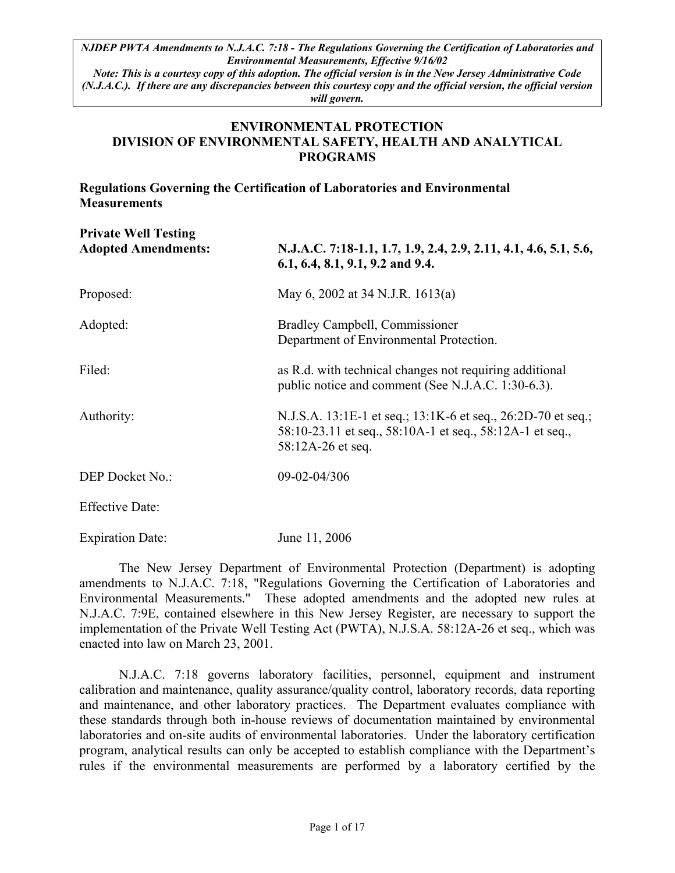*Note: This is a courtesy copy of this adoption. The official version is in the New Jersey Administrative Code (N.J.A.C.). If there are any discrepancies between this courtesy copy and the official version, the official version will govern.*

#### **ENVIRONMENTAL PROTECTION DIVISION OF ENVIRONMENTAL SAFETY, HEALTH AND ANALYTICAL PROGRAMS**

# **Regulations Governing the Certification of Laboratories and Environmental Measurements**

| <b>Private Well Testing</b><br><b>Adopted Amendments:</b> | N.J.A.C. 7:18-1.1, 1.7, 1.9, 2.4, 2.9, 2.11, 4.1, 4.6, 5.1, 5.6,<br>$6.1, 6.4, 8.1, 9.1, 9.2$ and 9.4.                                        |
|-----------------------------------------------------------|-----------------------------------------------------------------------------------------------------------------------------------------------|
| Proposed:                                                 | May 6, 2002 at 34 N.J.R. 1613(a)                                                                                                              |
| Adopted:                                                  | Bradley Campbell, Commissioner<br>Department of Environmental Protection.                                                                     |
| Filed:                                                    | as R.d. with technical changes not requiring additional<br>public notice and comment (See N.J.A.C. 1:30-6.3).                                 |
| Authority:                                                | N.J.S.A. 13:1E-1 et seq.; 13:1K-6 et seq., 26:2D-70 et seq.;<br>58:10-23.11 et seq., 58:10A-1 et seq., 58:12A-1 et seq.,<br>58:12A-26 et seq. |
| DEP Docket No.:                                           | 09-02-04/306                                                                                                                                  |
| <b>Effective Date:</b>                                    |                                                                                                                                               |
| <b>Expiration Date:</b>                                   | June 11, 2006                                                                                                                                 |

The New Jersey Department of Environmental Protection (Department) is adopting amendments to N.J.A.C. 7:18, "Regulations Governing the Certification of Laboratories and Environmental Measurements." These adopted amendments and the adopted new rules at N.J.A.C. 7:9E, contained elsewhere in this New Jersey Register, are necessary to support the implementation of the Private Well Testing Act (PWTA), N.J.S.A. 58:12A-26 et seq., which was enacted into law on March 23, 2001.

N.J.A.C. 7:18 governs laboratory facilities, personnel, equipment and instrument calibration and maintenance, quality assurance/quality control, laboratory records, data reporting and maintenance, and other laboratory practices. The Department evaluates compliance with these standards through both in-house reviews of documentation maintained by environmental laboratories and on-site audits of environmental laboratories. Under the laboratory certification program, analytical results can only be accepted to establish compliance with the Department's rules if the environmental measurements are performed by a laboratory certified by the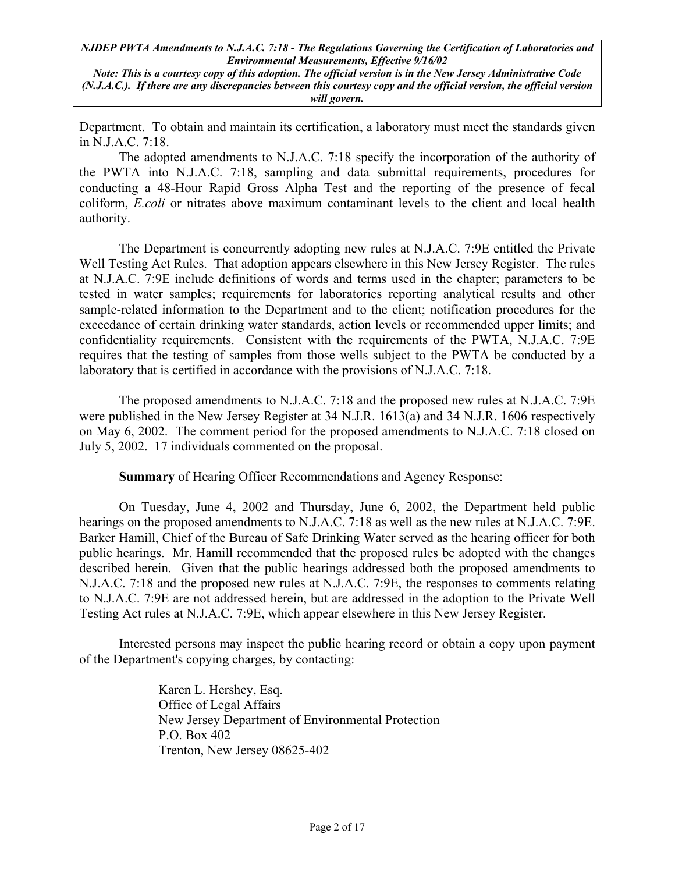*Note: This is a courtesy copy of this adoption. The official version is in the New Jersey Administrative Code (N.J.A.C.). If there are any discrepancies between this courtesy copy and the official version, the official version will govern.*

Department. To obtain and maintain its certification, a laboratory must meet the standards given in N.J.A.C. 7:18.

The adopted amendments to N.J.A.C. 7:18 specify the incorporation of the authority of the PWTA into N.J.A.C. 7:18, sampling and data submittal requirements, procedures for conducting a 48-Hour Rapid Gross Alpha Test and the reporting of the presence of fecal coliform, *E.coli* or nitrates above maximum contaminant levels to the client and local health authority.

The Department is concurrently adopting new rules at N.J.A.C. 7:9E entitled the Private Well Testing Act Rules. That adoption appears elsewhere in this New Jersey Register. The rules at N.J.A.C. 7:9E include definitions of words and terms used in the chapter; parameters to be tested in water samples; requirements for laboratories reporting analytical results and other sample-related information to the Department and to the client; notification procedures for the exceedance of certain drinking water standards, action levels or recommended upper limits; and confidentiality requirements. Consistent with the requirements of the PWTA, N.J.A.C. 7:9E requires that the testing of samples from those wells subject to the PWTA be conducted by a laboratory that is certified in accordance with the provisions of N.J.A.C. 7:18.

The proposed amendments to N.J.A.C. 7:18 and the proposed new rules at N.J.A.C. 7:9E were published in the New Jersey Register at 34 N.J.R. 1613(a) and 34 N.J.R. 1606 respectively on May 6, 2002. The comment period for the proposed amendments to N.J.A.C. 7:18 closed on July 5, 2002. 17 individuals commented on the proposal.

**Summary** of Hearing Officer Recommendations and Agency Response:

On Tuesday, June 4, 2002 and Thursday, June 6, 2002, the Department held public hearings on the proposed amendments to N.J.A.C. 7:18 as well as the new rules at N.J.A.C. 7:9E. Barker Hamill, Chief of the Bureau of Safe Drinking Water served as the hearing officer for both public hearings. Mr. Hamill recommended that the proposed rules be adopted with the changes described herein. Given that the public hearings addressed both the proposed amendments to N.J.A.C. 7:18 and the proposed new rules at N.J.A.C. 7:9E, the responses to comments relating to N.J.A.C. 7:9E are not addressed herein, but are addressed in the adoption to the Private Well Testing Act rules at N.J.A.C. 7:9E, which appear elsewhere in this New Jersey Register.

Interested persons may inspect the public hearing record or obtain a copy upon payment of the Department's copying charges, by contacting:

> Karen L. Hershey, Esq. Office of Legal Affairs New Jersey Department of Environmental Protection P.O. Box 402 Trenton, New Jersey 08625-402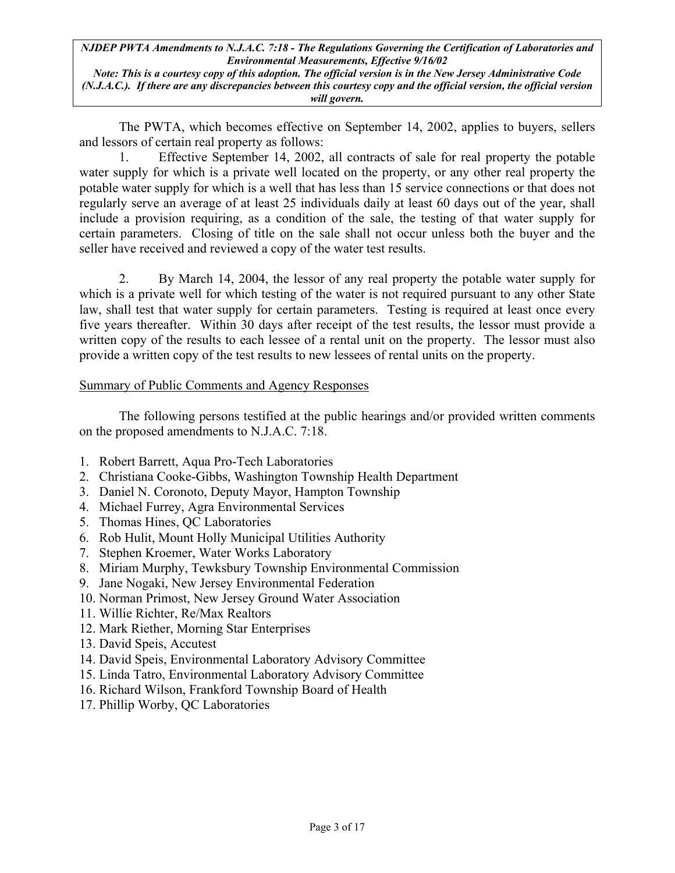*Note: This is a courtesy copy of this adoption. The official version is in the New Jersey Administrative Code (N.J.A.C.). If there are any discrepancies between this courtesy copy and the official version, the official version will govern.*

The PWTA, which becomes effective on September 14, 2002, applies to buyers, sellers and lessors of certain real property as follows:

1. Effective September 14, 2002, all contracts of sale for real property the potable water supply for which is a private well located on the property, or any other real property the potable water supply for which is a well that has less than 15 service connections or that does not regularly serve an average of at least 25 individuals daily at least 60 days out of the year, shall include a provision requiring, as a condition of the sale, the testing of that water supply for certain parameters. Closing of title on the sale shall not occur unless both the buyer and the seller have received and reviewed a copy of the water test results.

2. By March 14, 2004, the lessor of any real property the potable water supply for which is a private well for which testing of the water is not required pursuant to any other State law, shall test that water supply for certain parameters. Testing is required at least once every five years thereafter. Within 30 days after receipt of the test results, the lessor must provide a written copy of the results to each lessee of a rental unit on the property. The lessor must also provide a written copy of the test results to new lessees of rental units on the property.

### Summary of Public Comments and Agency Responses

The following persons testified at the public hearings and/or provided written comments on the proposed amendments to N.J.A.C. 7:18.

- 1. Robert Barrett, Aqua Pro-Tech Laboratories
- 2. Christiana Cooke-Gibbs, Washington Township Health Department
- 3. Daniel N. Coronoto, Deputy Mayor, Hampton Township
- 4. Michael Furrey, Agra Environmental Services
- 5. Thomas Hines, QC Laboratories
- 6. Rob Hulit, Mount Holly Municipal Utilities Authority
- 7. Stephen Kroemer, Water Works Laboratory
- 8. Miriam Murphy, Tewksbury Township Environmental Commission
- 9. Jane Nogaki, New Jersey Environmental Federation
- 10. Norman Primost, New Jersey Ground Water Association
- 11. Willie Richter, Re/Max Realtors
- 12. Mark Riether, Morning Star Enterprises
- 13. David Speis, Accutest
- 14. David Speis, Environmental Laboratory Advisory Committee
- 15. Linda Tatro, Environmental Laboratory Advisory Committee
- 16. Richard Wilson, Frankford Township Board of Health
- 17. Phillip Worby, QC Laboratories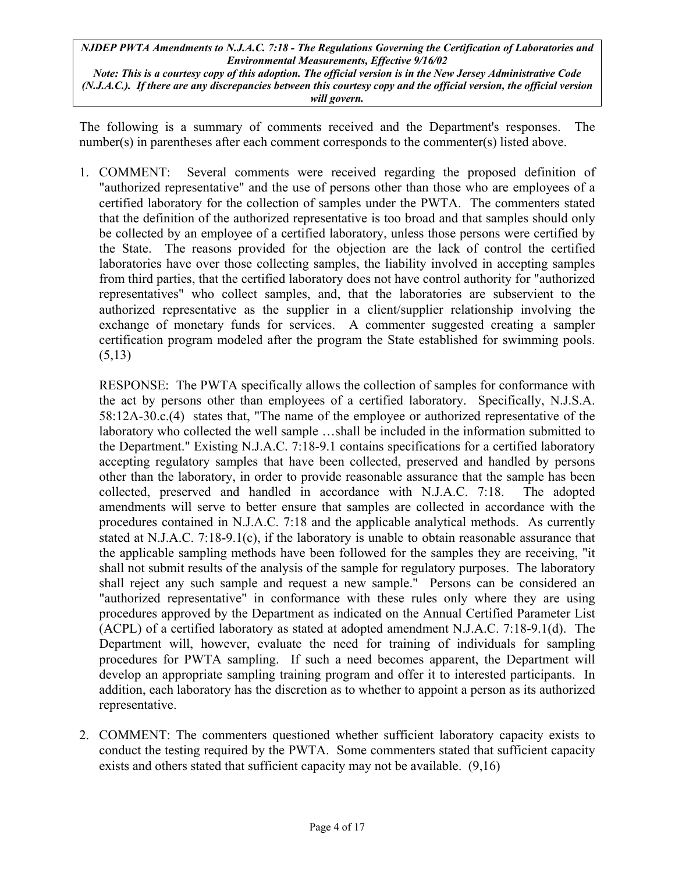*Note: This is a courtesy copy of this adoption. The official version is in the New Jersey Administrative Code (N.J.A.C.). If there are any discrepancies between this courtesy copy and the official version, the official version will govern.*

The following is a summary of comments received and the Department's responses. The number(s) in parentheses after each comment corresponds to the commenter(s) listed above.

1. COMMENT: Several comments were received regarding the proposed definition of "authorized representative" and the use of persons other than those who are employees of a certified laboratory for the collection of samples under the PWTA. The commenters stated that the definition of the authorized representative is too broad and that samples should only be collected by an employee of a certified laboratory, unless those persons were certified by the State. The reasons provided for the objection are the lack of control the certified laboratories have over those collecting samples, the liability involved in accepting samples from third parties, that the certified laboratory does not have control authority for "authorized representatives" who collect samples, and, that the laboratories are subservient to the authorized representative as the supplier in a client/supplier relationship involving the exchange of monetary funds for services. A commenter suggested creating a sampler certification program modeled after the program the State established for swimming pools.  $(5,13)$ 

RESPONSE: The PWTA specifically allows the collection of samples for conformance with the act by persons other than employees of a certified laboratory. Specifically, N.J.S.A. 58:12A-30.c.(4) states that, "The name of the employee or authorized representative of the laboratory who collected the well sample …shall be included in the information submitted to the Department." Existing N.J.A.C. 7:18-9.1 contains specifications for a certified laboratory accepting regulatory samples that have been collected, preserved and handled by persons other than the laboratory, in order to provide reasonable assurance that the sample has been collected, preserved and handled in accordance with N.J.A.C. 7:18. The adopted amendments will serve to better ensure that samples are collected in accordance with the procedures contained in N.J.A.C. 7:18 and the applicable analytical methods. As currently stated at N.J.A.C. 7:18-9.1(c), if the laboratory is unable to obtain reasonable assurance that the applicable sampling methods have been followed for the samples they are receiving, "it shall not submit results of the analysis of the sample for regulatory purposes. The laboratory shall reject any such sample and request a new sample." Persons can be considered an "authorized representative" in conformance with these rules only where they are using procedures approved by the Department as indicated on the Annual Certified Parameter List (ACPL) of a certified laboratory as stated at adopted amendment N.J.A.C. 7:18-9.1(d). The Department will, however, evaluate the need for training of individuals for sampling procedures for PWTA sampling. If such a need becomes apparent, the Department will develop an appropriate sampling training program and offer it to interested participants. In addition, each laboratory has the discretion as to whether to appoint a person as its authorized representative.

2. COMMENT: The commenters questioned whether sufficient laboratory capacity exists to conduct the testing required by the PWTA. Some commenters stated that sufficient capacity exists and others stated that sufficient capacity may not be available. (9.16)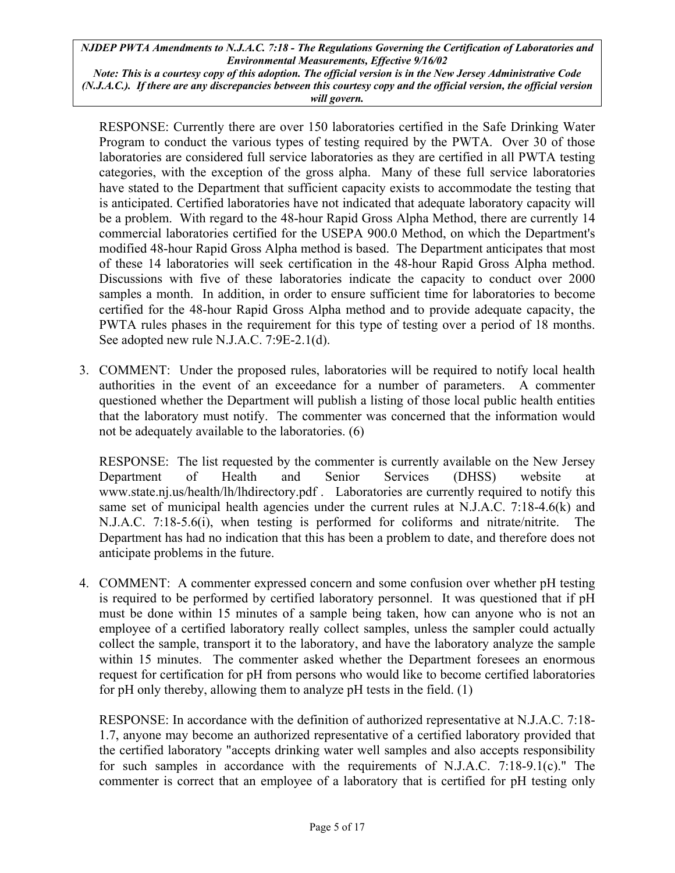*Note: This is a courtesy copy of this adoption. The official version is in the New Jersey Administrative Code (N.J.A.C.). If there are any discrepancies between this courtesy copy and the official version, the official version will govern.*

RESPONSE: Currently there are over 150 laboratories certified in the Safe Drinking Water Program to conduct the various types of testing required by the PWTA. Over 30 of those laboratories are considered full service laboratories as they are certified in all PWTA testing categories, with the exception of the gross alpha. Many of these full service laboratories have stated to the Department that sufficient capacity exists to accommodate the testing that is anticipated. Certified laboratories have not indicated that adequate laboratory capacity will be a problem. With regard to the 48-hour Rapid Gross Alpha Method, there are currently 14 commercial laboratories certified for the USEPA 900.0 Method, on which the Department's modified 48-hour Rapid Gross Alpha method is based. The Department anticipates that most of these 14 laboratories will seek certification in the 48-hour Rapid Gross Alpha method. Discussions with five of these laboratories indicate the capacity to conduct over 2000 samples a month. In addition, in order to ensure sufficient time for laboratories to become certified for the 48-hour Rapid Gross Alpha method and to provide adequate capacity, the PWTA rules phases in the requirement for this type of testing over a period of 18 months. See adopted new rule N.J.A.C. 7:9E-2.1(d).

3. COMMENT: Under the proposed rules, laboratories will be required to notify local health authorities in the event of an exceedance for a number of parameters. A commenter questioned whether the Department will publish a listing of those local public health entities that the laboratory must notify. The commenter was concerned that the information would not be adequately available to the laboratories. (6)

RESPONSE: The list requested by the commenter is currently available on the New Jersey Department of Health and Senior Services (DHSS) website at [www.state.nj.us/health/lh/lhdirectory.pdf .](http://www./??) Laboratories are currently required to notify this same set of municipal health agencies under the current rules at N.J.A.C. 7:18-4.6( $k$ ) and N.J.A.C. 7:18-5.6(i), when testing is performed for coliforms and nitrate/nitrite. The Department has had no indication that this has been a problem to date, and therefore does not anticipate problems in the future.

4. COMMENT: A commenter expressed concern and some confusion over whether pH testing is required to be performed by certified laboratory personnel. It was questioned that if pH must be done within 15 minutes of a sample being taken, how can anyone who is not an employee of a certified laboratory really collect samples, unless the sampler could actually collect the sample, transport it to the laboratory, and have the laboratory analyze the sample within 15 minutes. The commenter asked whether the Department foresees an enormous request for certification for pH from persons who would like to become certified laboratories for pH only thereby, allowing them to analyze pH tests in the field. (1)

RESPONSE: In accordance with the definition of authorized representative at N.J.A.C. 7:18- 1.7, anyone may become an authorized representative of a certified laboratory provided that the certified laboratory "accepts drinking water well samples and also accepts responsibility for such samples in accordance with the requirements of N.J.A.C. 7:18-9.1(c)." The commenter is correct that an employee of a laboratory that is certified for pH testing only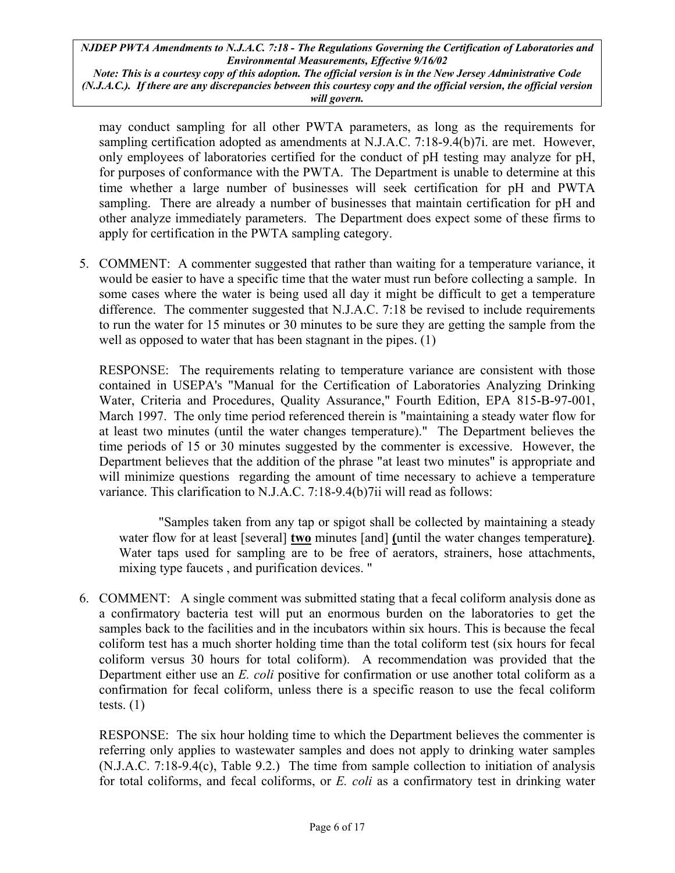*Note: This is a courtesy copy of this adoption. The official version is in the New Jersey Administrative Code (N.J.A.C.). If there are any discrepancies between this courtesy copy and the official version, the official version will govern.*

may conduct sampling for all other PWTA parameters, as long as the requirements for sampling certification adopted as amendments at N.J.A.C. 7:18-9.4(b)7i. are met. However, only employees of laboratories certified for the conduct of pH testing may analyze for pH, for purposes of conformance with the PWTA. The Department is unable to determine at this time whether a large number of businesses will seek certification for pH and PWTA sampling. There are already a number of businesses that maintain certification for pH and other analyze immediately parameters. The Department does expect some of these firms to apply for certification in the PWTA sampling category.

5. COMMENT: A commenter suggested that rather than waiting for a temperature variance, it would be easier to have a specific time that the water must run before collecting a sample. In some cases where the water is being used all day it might be difficult to get a temperature difference. The commenter suggested that N.J.A.C. 7:18 be revised to include requirements to run the water for 15 minutes or 30 minutes to be sure they are getting the sample from the well as opposed to water that has been stagnant in the pipes. (1)

RESPONSE: The requirements relating to temperature variance are consistent with those contained in USEPA's "Manual for the Certification of Laboratories Analyzing Drinking Water, Criteria and Procedures, Quality Assurance," Fourth Edition, EPA 815-B-97-001, March 1997. The only time period referenced therein is "maintaining a steady water flow for at least two minutes (until the water changes temperature)." The Department believes the time periods of 15 or 30 minutes suggested by the commenter is excessive. However, the Department believes that the addition of the phrase "at least two minutes" is appropriate and will minimize questions regarding the amount of time necessary to achieve a temperature variance. This clarification to N.J.A.C. 7:18-9.4(b)7ii will read as follows:

"Samples taken from any tap or spigot shall be collected by maintaining a steady water flow for at least [several] **two** minutes [and] **(**until the water changes temperature**)**. Water taps used for sampling are to be free of aerators, strainers, hose attachments, mixing type faucets , and purification devices. "

6. COMMENT: A single comment was submitted stating that a fecal coliform analysis done as a confirmatory bacteria test will put an enormous burden on the laboratories to get the samples back to the facilities and in the incubators within six hours. This is because the fecal coliform test has a much shorter holding time than the total coliform test (six hours for fecal coliform versus 30 hours for total coliform). A recommendation was provided that the Department either use an *E. coli* positive for confirmation or use another total coliform as a confirmation for fecal coliform, unless there is a specific reason to use the fecal coliform tests.  $(1)$ 

RESPONSE: The six hour holding time to which the Department believes the commenter is referring only applies to wastewater samples and does not apply to drinking water samples (N.J.A.C. 7:18-9.4(c), Table 9.2.) The time from sample collection to initiation of analysis for total coliforms, and fecal coliforms, or *E. coli* as a confirmatory test in drinking water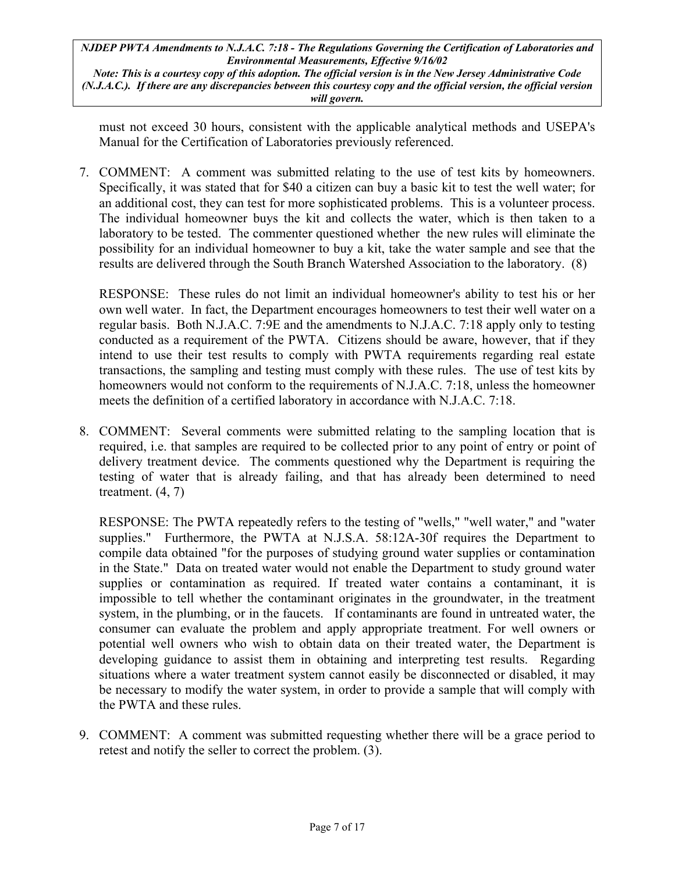*Note: This is a courtesy copy of this adoption. The official version is in the New Jersey Administrative Code (N.J.A.C.). If there are any discrepancies between this courtesy copy and the official version, the official version will govern.*

must not exceed 30 hours, consistent with the applicable analytical methods and USEPA's Manual for the Certification of Laboratories previously referenced.

7. COMMENT: A comment was submitted relating to the use of test kits by homeowners. Specifically, it was stated that for \$40 a citizen can buy a basic kit to test the well water; for an additional cost, they can test for more sophisticated problems. This is a volunteer process. The individual homeowner buys the kit and collects the water, which is then taken to a laboratory to be tested. The commenter questioned whether the new rules will eliminate the possibility for an individual homeowner to buy a kit, take the water sample and see that the results are delivered through the South Branch Watershed Association to the laboratory. (8)

RESPONSE: These rules do not limit an individual homeowner's ability to test his or her own well water. In fact, the Department encourages homeowners to test their well water on a regular basis. Both N.J.A.C. 7:9E and the amendments to N.J.A.C. 7:18 apply only to testing conducted as a requirement of the PWTA. Citizens should be aware, however, that if they intend to use their test results to comply with PWTA requirements regarding real estate transactions, the sampling and testing must comply with these rules. The use of test kits by homeowners would not conform to the requirements of N.J.A.C. 7:18, unless the homeowner meets the definition of a certified laboratory in accordance with N.J.A.C. 7:18.

8. COMMENT: Several comments were submitted relating to the sampling location that is required, i.e. that samples are required to be collected prior to any point of entry or point of delivery treatment device. The comments questioned why the Department is requiring the testing of water that is already failing, and that has already been determined to need treatment. (4, 7)

RESPONSE: The PWTA repeatedly refers to the testing of "wells," "well water," and "water supplies." Furthermore, the PWTA at N.J.S.A. 58:12A-30f requires the Department to compile data obtained "for the purposes of studying ground water supplies or contamination in the State." Data on treated water would not enable the Department to study ground water supplies or contamination as required. If treated water contains a contaminant, it is impossible to tell whether the contaminant originates in the groundwater, in the treatment system, in the plumbing, or in the faucets. If contaminants are found in untreated water, the consumer can evaluate the problem and apply appropriate treatment. For well owners or potential well owners who wish to obtain data on their treated water, the Department is developing guidance to assist them in obtaining and interpreting test results. Regarding situations where a water treatment system cannot easily be disconnected or disabled, it may be necessary to modify the water system, in order to provide a sample that will comply with the PWTA and these rules.

9. COMMENT: A comment was submitted requesting whether there will be a grace period to retest and notify the seller to correct the problem. (3).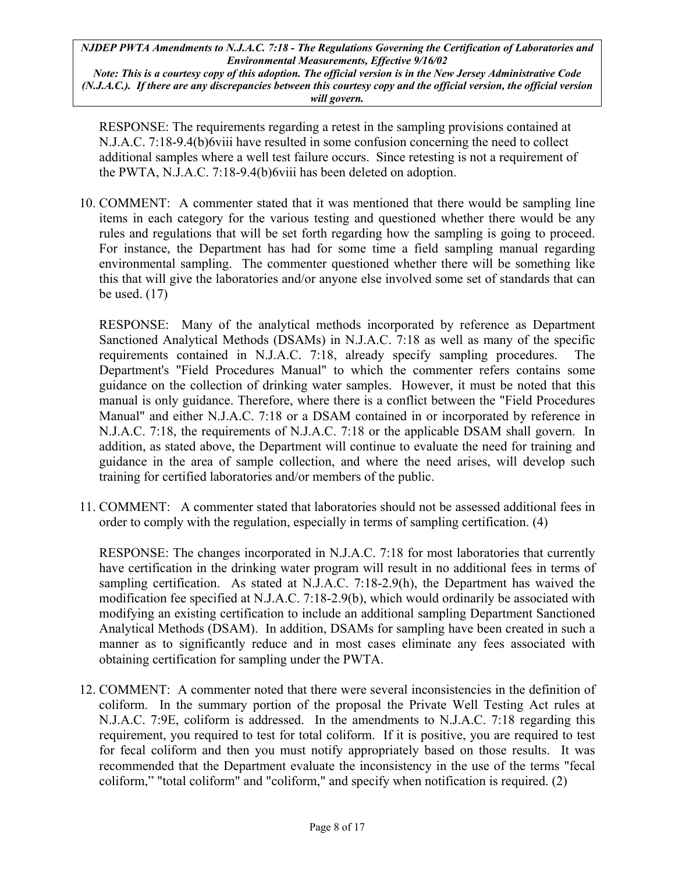*Note: This is a courtesy copy of this adoption. The official version is in the New Jersey Administrative Code (N.J.A.C.). If there are any discrepancies between this courtesy copy and the official version, the official version will govern.*

RESPONSE: The requirements regarding a retest in the sampling provisions contained at N.J.A.C. 7:18-9.4(b)6viii have resulted in some confusion concerning the need to collect additional samples where a well test failure occurs. Since retesting is not a requirement of the PWTA, N.J.A.C. 7:18-9.4(b)6viii has been deleted on adoption.

10. COMMENT: A commenter stated that it was mentioned that there would be sampling line items in each category for the various testing and questioned whether there would be any rules and regulations that will be set forth regarding how the sampling is going to proceed. For instance, the Department has had for some time a field sampling manual regarding environmental sampling. The commenter questioned whether there will be something like this that will give the laboratories and/or anyone else involved some set of standards that can be used. (17)

RESPONSE: Many of the analytical methods incorporated by reference as Department Sanctioned Analytical Methods (DSAMs) in N.J.A.C. 7:18 as well as many of the specific requirements contained in N.J.A.C. 7:18, already specify sampling procedures. The Department's "Field Procedures Manual" to which the commenter refers contains some guidance on the collection of drinking water samples. However, it must be noted that this manual is only guidance. Therefore, where there is a conflict between the "Field Procedures Manual" and either N.J.A.C. 7:18 or a DSAM contained in or incorporated by reference in N.J.A.C. 7:18, the requirements of N.J.A.C. 7:18 or the applicable DSAM shall govern. In addition, as stated above, the Department will continue to evaluate the need for training and guidance in the area of sample collection, and where the need arises, will develop such training for certified laboratories and/or members of the public.

11. COMMENT: A commenter stated that laboratories should not be assessed additional fees in order to comply with the regulation, especially in terms of sampling certification. (4)

RESPONSE: The changes incorporated in N.J.A.C. 7:18 for most laboratories that currently have certification in the drinking water program will result in no additional fees in terms of sampling certification. As stated at N.J.A.C. 7:18-2.9(h), the Department has waived the modification fee specified at N.J.A.C. 7:18-2.9(b), which would ordinarily be associated with modifying an existing certification to include an additional sampling Department Sanctioned Analytical Methods (DSAM). In addition, DSAMs for sampling have been created in such a manner as to significantly reduce and in most cases eliminate any fees associated with obtaining certification for sampling under the PWTA.

12. COMMENT: A commenter noted that there were several inconsistencies in the definition of coliform. In the summary portion of the proposal the Private Well Testing Act rules at N.J.A.C. 7:9E, coliform is addressed. In the amendments to N.J.A.C. 7:18 regarding this requirement, you required to test for total coliform. If it is positive, you are required to test for fecal coliform and then you must notify appropriately based on those results. It was recommended that the Department evaluate the inconsistency in the use of the terms "fecal coliform," "total coliform" and "coliform," and specify when notification is required. (2)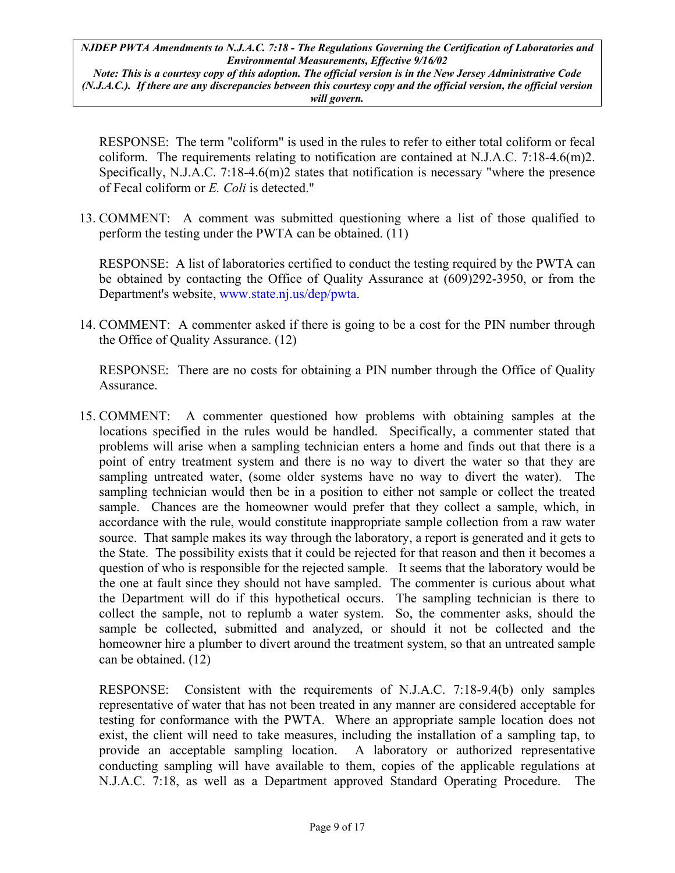*Note: This is a courtesy copy of this adoption. The official version is in the New Jersey Administrative Code (N.J.A.C.). If there are any discrepancies between this courtesy copy and the official version, the official version will govern.*

RESPONSE: The term "coliform" is used in the rules to refer to either total coliform or fecal coliform. The requirements relating to notification are contained at N.J.A.C. 7:18-4.6(m)2. Specifically, N.J.A.C. 7:18-4.6(m)2 states that notification is necessary "where the presence of Fecal coliform or *E. Coli* is detected."

13. COMMENT: A comment was submitted questioning where a list of those qualified to perform the testing under the PWTA can be obtained. (11)

RESPONSE: A list of laboratories certified to conduct the testing required by the PWTA can be obtained by contacting the Office of Quality Assurance at (609)292-3950, or from the Department's website, [www.state.nj.us/dep/pwta.](http://www.state.nj.us/dep????)

14. COMMENT: A commenter asked if there is going to be a cost for the PIN number through the Office of Quality Assurance. (12)

RESPONSE: There are no costs for obtaining a PIN number through the Office of Quality Assurance.

15. COMMENT: A commenter questioned how problems with obtaining samples at the locations specified in the rules would be handled. Specifically, a commenter stated that problems will arise when a sampling technician enters a home and finds out that there is a point of entry treatment system and there is no way to divert the water so that they are sampling untreated water, (some older systems have no way to divert the water). The sampling technician would then be in a position to either not sample or collect the treated sample. Chances are the homeowner would prefer that they collect a sample, which, in accordance with the rule, would constitute inappropriate sample collection from a raw water source. That sample makes its way through the laboratory, a report is generated and it gets to the State. The possibility exists that it could be rejected for that reason and then it becomes a question of who is responsible for the rejected sample. It seems that the laboratory would be the one at fault since they should not have sampled. The commenter is curious about what the Department will do if this hypothetical occurs. The sampling technician is there to collect the sample, not to replumb a water system. So, the commenter asks, should the sample be collected, submitted and analyzed, or should it not be collected and the homeowner hire a plumber to divert around the treatment system, so that an untreated sample can be obtained. (12)

RESPONSE: Consistent with the requirements of N.J.A.C. 7:18-9.4(b) only samples representative of water that has not been treated in any manner are considered acceptable for testing for conformance with the PWTA. Where an appropriate sample location does not exist, the client will need to take measures, including the installation of a sampling tap, to provide an acceptable sampling location. A laboratory or authorized representative conducting sampling will have available to them, copies of the applicable regulations at N.J.A.C. 7:18, as well as a Department approved Standard Operating Procedure. The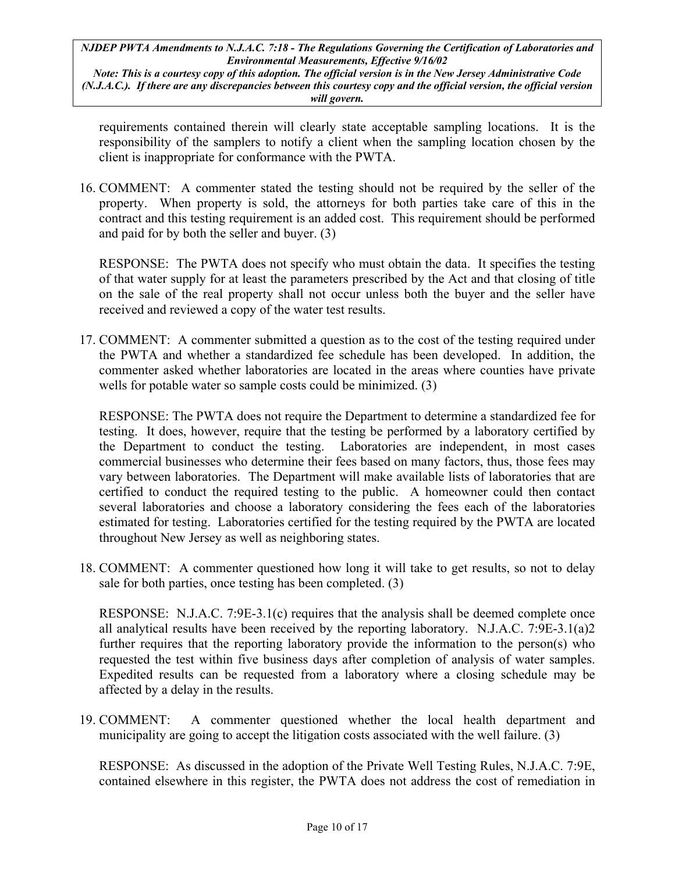*Note: This is a courtesy copy of this adoption. The official version is in the New Jersey Administrative Code (N.J.A.C.). If there are any discrepancies between this courtesy copy and the official version, the official version will govern.*

requirements contained therein will clearly state acceptable sampling locations. It is the responsibility of the samplers to notify a client when the sampling location chosen by the client is inappropriate for conformance with the PWTA.

16. COMMENT: A commenter stated the testing should not be required by the seller of the property. When property is sold, the attorneys for both parties take care of this in the contract and this testing requirement is an added cost. This requirement should be performed and paid for by both the seller and buyer. (3)

RESPONSE: The PWTA does not specify who must obtain the data. It specifies the testing of that water supply for at least the parameters prescribed by the Act and that closing of title on the sale of the real property shall not occur unless both the buyer and the seller have received and reviewed a copy of the water test results.

17. COMMENT: A commenter submitted a question as to the cost of the testing required under the PWTA and whether a standardized fee schedule has been developed. In addition, the commenter asked whether laboratories are located in the areas where counties have private wells for potable water so sample costs could be minimized. (3)

RESPONSE: The PWTA does not require the Department to determine a standardized fee for testing. It does, however, require that the testing be performed by a laboratory certified by the Department to conduct the testing. Laboratories are independent, in most cases commercial businesses who determine their fees based on many factors, thus, those fees may vary between laboratories. The Department will make available lists of laboratories that are certified to conduct the required testing to the public. A homeowner could then contact several laboratories and choose a laboratory considering the fees each of the laboratories estimated for testing. Laboratories certified for the testing required by the PWTA are located throughout New Jersey as well as neighboring states.

18. COMMENT: A commenter questioned how long it will take to get results, so not to delay sale for both parties, once testing has been completed. (3)

RESPONSE: N.J.A.C. 7:9E-3.1(c) requires that the analysis shall be deemed complete once all analytical results have been received by the reporting laboratory. N.J.A.C. 7:9E-3.1(a)2 further requires that the reporting laboratory provide the information to the person(s) who requested the test within five business days after completion of analysis of water samples. Expedited results can be requested from a laboratory where a closing schedule may be affected by a delay in the results.

19. COMMENT: A commenter questioned whether the local health department and municipality are going to accept the litigation costs associated with the well failure. (3)

RESPONSE: As discussed in the adoption of the Private Well Testing Rules, N.J.A.C. 7:9E, contained elsewhere in this register, the PWTA does not address the cost of remediation in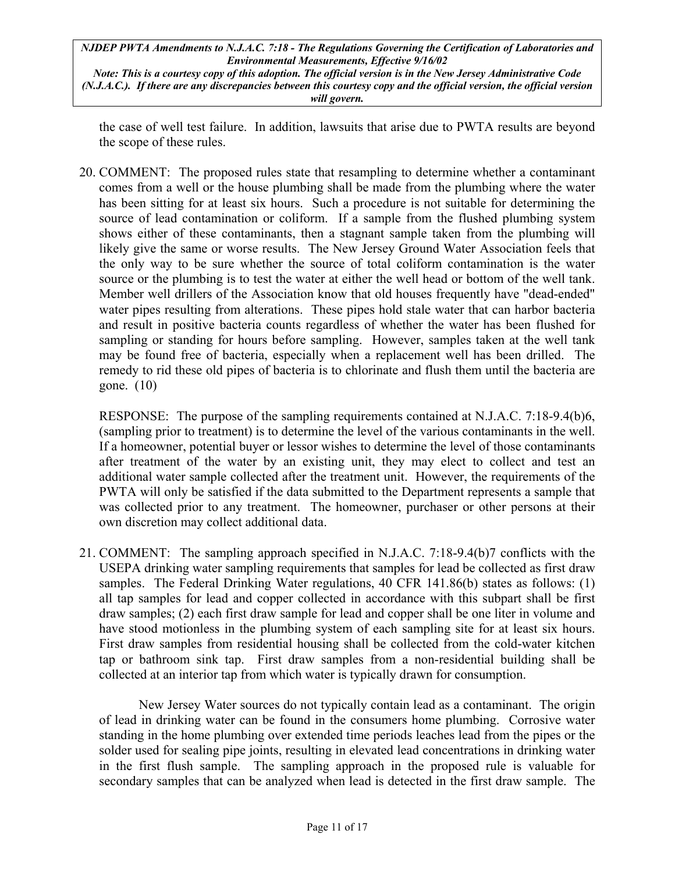*Note: This is a courtesy copy of this adoption. The official version is in the New Jersey Administrative Code (N.J.A.C.). If there are any discrepancies between this courtesy copy and the official version, the official version will govern.*

the case of well test failure. In addition, lawsuits that arise due to PWTA results are beyond the scope of these rules.

20. COMMENT: The proposed rules state that resampling to determine whether a contaminant comes from a well or the house plumbing shall be made from the plumbing where the water has been sitting for at least six hours. Such a procedure is not suitable for determining the source of lead contamination or coliform. If a sample from the flushed plumbing system shows either of these contaminants, then a stagnant sample taken from the plumbing will likely give the same or worse results. The New Jersey Ground Water Association feels that the only way to be sure whether the source of total coliform contamination is the water source or the plumbing is to test the water at either the well head or bottom of the well tank. Member well drillers of the Association know that old houses frequently have "dead-ended" water pipes resulting from alterations. These pipes hold stale water that can harbor bacteria and result in positive bacteria counts regardless of whether the water has been flushed for sampling or standing for hours before sampling. However, samples taken at the well tank may be found free of bacteria, especially when a replacement well has been drilled. The remedy to rid these old pipes of bacteria is to chlorinate and flush them until the bacteria are gone. (10)

RESPONSE: The purpose of the sampling requirements contained at N.J.A.C. 7:18-9.4(b)6, (sampling prior to treatment) is to determine the level of the various contaminants in the well. If a homeowner, potential buyer or lessor wishes to determine the level of those contaminants after treatment of the water by an existing unit, they may elect to collect and test an additional water sample collected after the treatment unit. However, the requirements of the PWTA will only be satisfied if the data submitted to the Department represents a sample that was collected prior to any treatment. The homeowner, purchaser or other persons at their own discretion may collect additional data.

21. COMMENT: The sampling approach specified in N.J.A.C. 7:18-9.4(b)7 conflicts with the USEPA drinking water sampling requirements that samples for lead be collected as first draw samples. The Federal Drinking Water regulations, 40 CFR 141.86(b) states as follows: (1) all tap samples for lead and copper collected in accordance with this subpart shall be first draw samples; (2) each first draw sample for lead and copper shall be one liter in volume and have stood motionless in the plumbing system of each sampling site for at least six hours. First draw samples from residential housing shall be collected from the cold-water kitchen tap or bathroom sink tap. First draw samples from a non-residential building shall be collected at an interior tap from which water is typically drawn for consumption.

New Jersey Water sources do not typically contain lead as a contaminant. The origin of lead in drinking water can be found in the consumers home plumbing. Corrosive water standing in the home plumbing over extended time periods leaches lead from the pipes or the solder used for sealing pipe joints, resulting in elevated lead concentrations in drinking water in the first flush sample. The sampling approach in the proposed rule is valuable for secondary samples that can be analyzed when lead is detected in the first draw sample. The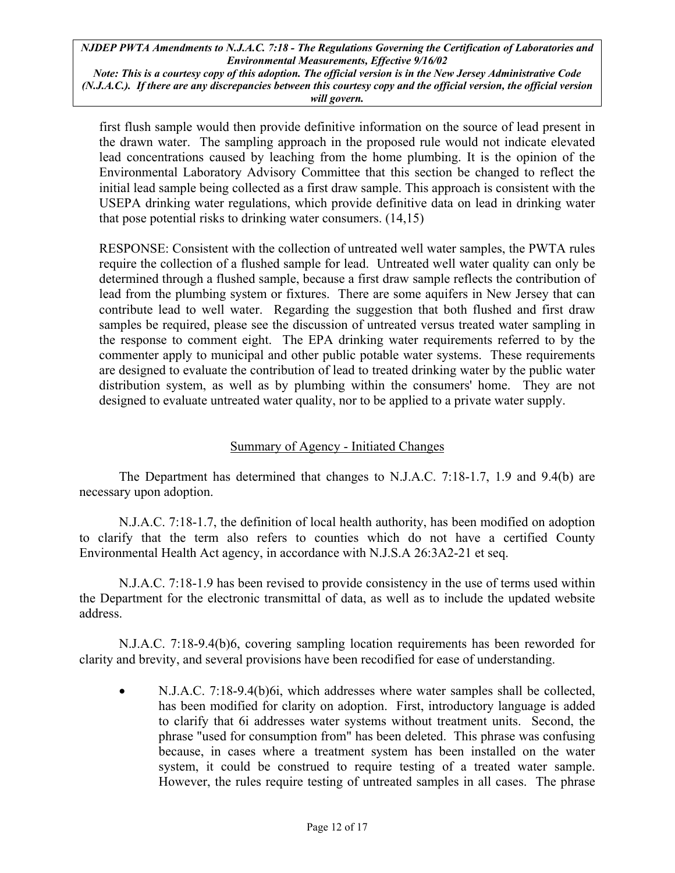*Note: This is a courtesy copy of this adoption. The official version is in the New Jersey Administrative Code (N.J.A.C.). If there are any discrepancies between this courtesy copy and the official version, the official version will govern.*

first flush sample would then provide definitive information on the source of lead present in the drawn water. The sampling approach in the proposed rule would not indicate elevated lead concentrations caused by leaching from the home plumbing. It is the opinion of the Environmental Laboratory Advisory Committee that this section be changed to reflect the initial lead sample being collected as a first draw sample. This approach is consistent with the USEPA drinking water regulations, which provide definitive data on lead in drinking water that pose potential risks to drinking water consumers. (14,15)

RESPONSE: Consistent with the collection of untreated well water samples, the PWTA rules require the collection of a flushed sample for lead. Untreated well water quality can only be determined through a flushed sample, because a first draw sample reflects the contribution of lead from the plumbing system or fixtures. There are some aquifers in New Jersey that can contribute lead to well water. Regarding the suggestion that both flushed and first draw samples be required, please see the discussion of untreated versus treated water sampling in the response to comment eight. The EPA drinking water requirements referred to by the commenter apply to municipal and other public potable water systems. These requirements are designed to evaluate the contribution of lead to treated drinking water by the public water distribution system, as well as by plumbing within the consumers' home. They are not designed to evaluate untreated water quality, nor to be applied to a private water supply.

## Summary of Agency - Initiated Changes

The Department has determined that changes to N.J.A.C. 7:18-1.7, 1.9 and 9.4(b) are necessary upon adoption.

N.J.A.C. 7:18-1.7, the definition of local health authority, has been modified on adoption to clarify that the term also refers to counties which do not have a certified County Environmental Health Act agency, in accordance with N.J.S.A 26:3A2-21 et seq.

N.J.A.C. 7:18-1.9 has been revised to provide consistency in the use of terms used within the Department for the electronic transmittal of data, as well as to include the updated website address.

N.J.A.C. 7:18-9.4(b)6, covering sampling location requirements has been reworded for clarity and brevity, and several provisions have been recodified for ease of understanding.

• N.J.A.C. 7:18-9.4(b)6i, which addresses where water samples shall be collected, has been modified for clarity on adoption. First, introductory language is added to clarify that 6i addresses water systems without treatment units. Second, the phrase "used for consumption from" has been deleted. This phrase was confusing because, in cases where a treatment system has been installed on the water system, it could be construed to require testing of a treated water sample. However, the rules require testing of untreated samples in all cases. The phrase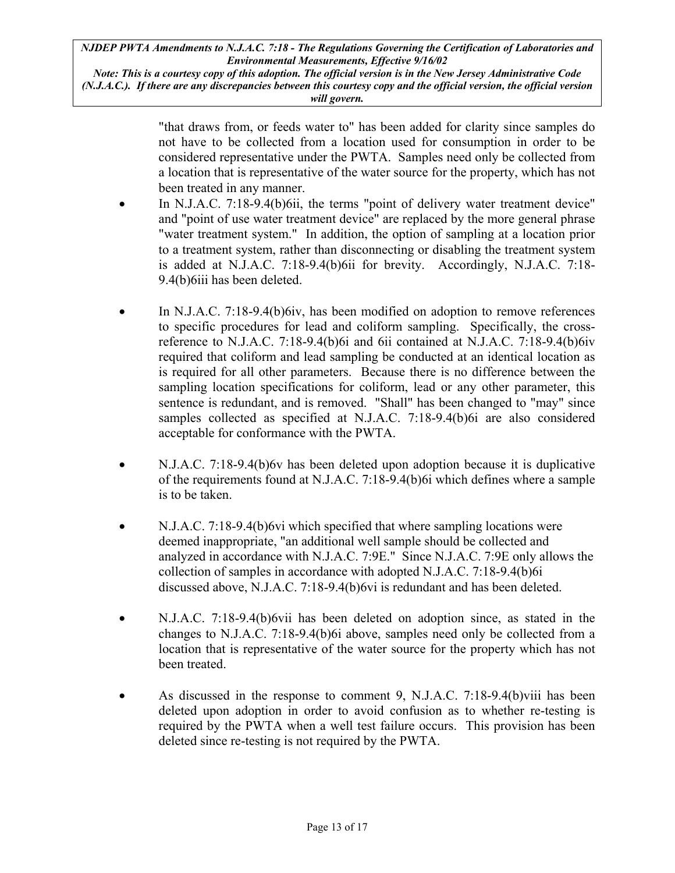*Note: This is a courtesy copy of this adoption. The official version is in the New Jersey Administrative Code (N.J.A.C.). If there are any discrepancies between this courtesy copy and the official version, the official version will govern.*

> "that draws from, or feeds water to" has been added for clarity since samples do not have to be collected from a location used for consumption in order to be considered representative under the PWTA. Samples need only be collected from a location that is representative of the water source for the property, which has not been treated in any manner.

- In N.J.A.C. 7:18-9.4(b)6ii, the terms "point of delivery water treatment device" and "point of use water treatment device" are replaced by the more general phrase "water treatment system." In addition, the option of sampling at a location prior to a treatment system, rather than disconnecting or disabling the treatment system is added at N.J.A.C. 7:18-9.4(b)6ii for brevity. Accordingly, N.J.A.C. 7:18- 9.4(b)6iii has been deleted.
- In N.J.A.C. 7:18-9.4(b)6iv, has been modified on adoption to remove references to specific procedures for lead and coliform sampling. Specifically, the crossreference to N.J.A.C. 7:18-9.4(b)6i and 6ii contained at N.J.A.C. 7:18-9.4(b)6iv required that coliform and lead sampling be conducted at an identical location as is required for all other parameters. Because there is no difference between the sampling location specifications for coliform, lead or any other parameter, this sentence is redundant, and is removed. "Shall" has been changed to "may" since samples collected as specified at N.J.A.C. 7:18-9.4(b)6i are also considered acceptable for conformance with the PWTA.
- N.J.A.C. 7:18-9.4(b)6y has been deleted upon adoption because it is duplicative of the requirements found at N.J.A.C. 7:18-9.4(b)6i which defines where a sample is to be taken.
- N.J.A.C. 7:18-9.4(b)6vi which specified that where sampling locations were deemed inappropriate, "an additional well sample should be collected and analyzed in accordance with N.J.A.C. 7:9E." Since N.J.A.C. 7:9E only allows the collection of samples in accordance with adopted N.J.A.C. 7:18-9.4(b)6i discussed above, N.J.A.C. 7:18-9.4(b)6vi is redundant and has been deleted.
- N.J.A.C. 7:18-9.4(b)6vii has been deleted on adoption since, as stated in the changes to N.J.A.C. 7:18-9.4(b)6i above, samples need only be collected from a location that is representative of the water source for the property which has not been treated.
- As discussed in the response to comment 9, N.J.A.C. 7:18-9.4(b)viii has been deleted upon adoption in order to avoid confusion as to whether re-testing is required by the PWTA when a well test failure occurs. This provision has been deleted since re-testing is not required by the PWTA.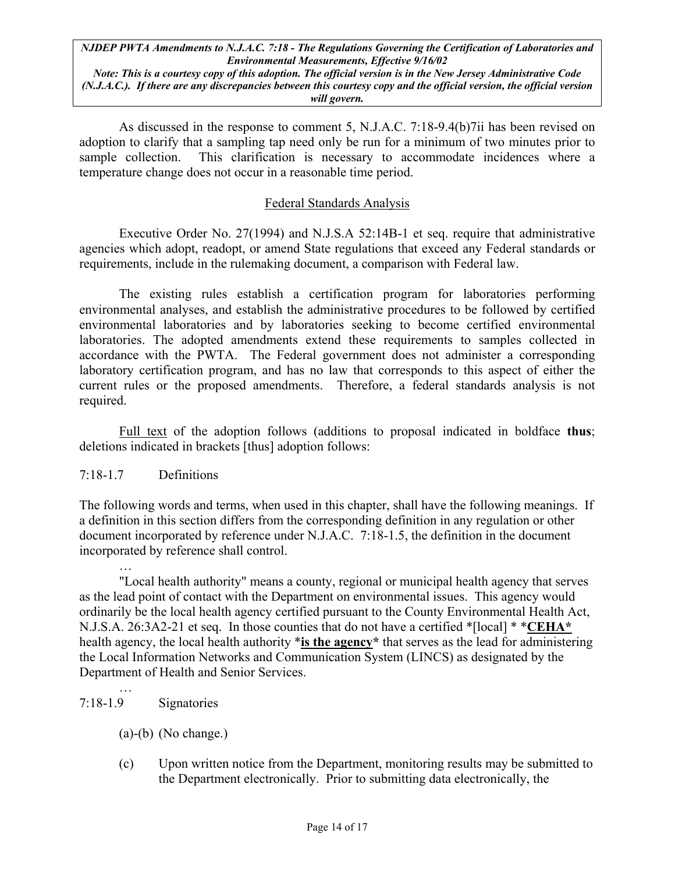*Note: This is a courtesy copy of this adoption. The official version is in the New Jersey Administrative Code (N.J.A.C.). If there are any discrepancies between this courtesy copy and the official version, the official version will govern.*

As discussed in the response to comment 5, N.J.A.C. 7:18-9.4(b)7ii has been revised on adoption to clarify that a sampling tap need only be run for a minimum of two minutes prior to sample collection. This clarification is necessary to accommodate incidences where a temperature change does not occur in a reasonable time period.

#### Federal Standards Analysis

Executive Order No. 27(1994) and N.J.S.A 52:14B-1 et seq. require that administrative agencies which adopt, readopt, or amend State regulations that exceed any Federal standards or requirements, include in the rulemaking document, a comparison with Federal law.

The existing rules establish a certification program for laboratories performing environmental analyses, and establish the administrative procedures to be followed by certified environmental laboratories and by laboratories seeking to become certified environmental laboratories. The adopted amendments extend these requirements to samples collected in accordance with the PWTA. The Federal government does not administer a corresponding laboratory certification program, and has no law that corresponds to this aspect of either the current rules or the proposed amendments. Therefore, a federal standards analysis is not required.

Full text of the adoption follows (additions to proposal indicated in boldface **thus**; deletions indicated in brackets [thus] adoption follows:

## 7:18-1.7 Definitions

The following words and terms, when used in this chapter, shall have the following meanings. If a definition in this section differs from the corresponding definition in any regulation or other document incorporated by reference under N.J.A.C. 7:18-1.5, the definition in the document incorporated by reference shall control.

… "Local health authority" means a county, regional or municipal health agency that serves as the lead point of contact with the Department on environmental issues. This agency would ordinarily be the local health agency certified pursuant to the County Environmental Health Act, N.J.S.A. 26:3A2-21 et seq. In those counties that do not have a certified \*[local] \* \***CEHA\*** health agency, the local health authority \***is the agency\*** that serves as the lead for administering the Local Information Networks and Communication System (LINCS) as designated by the Department of Health and Senior Services.

7:18-1.9 Signatories

…

- (a)-(b) (No change.)
- (c) Upon written notice from the Department, monitoring results may be submitted to the Department electronically. Prior to submitting data electronically, the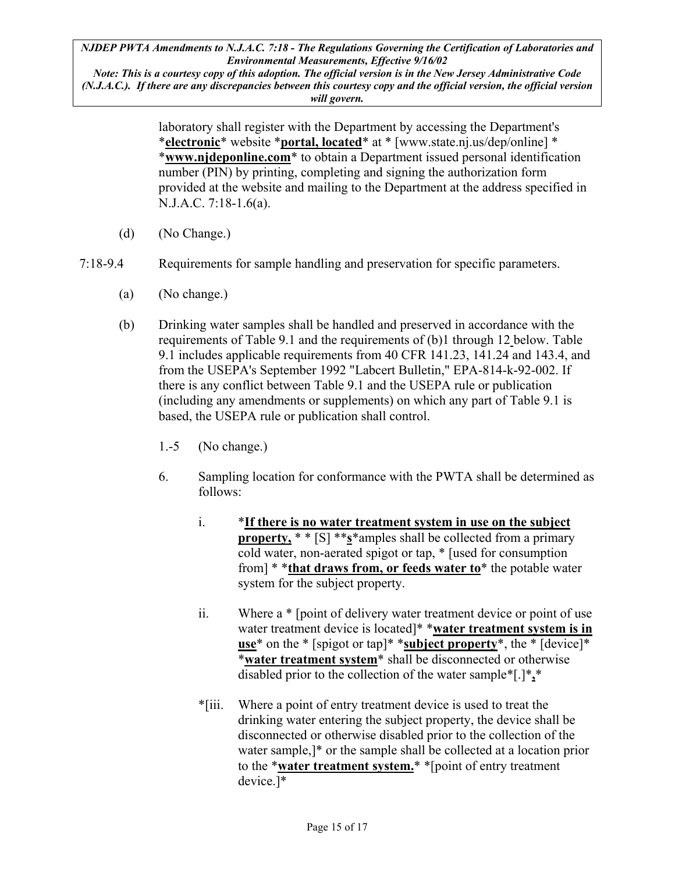*Note: This is a courtesy copy of this adoption. The official version is in the New Jersey Administrative Code (N.J.A.C.). If there are any discrepancies between this courtesy copy and the official version, the official version will govern.*

> laboratory shall register with the Department by accessing the Department's \***electronic**\* website \***portal, located**\* at \* [www.state.nj.us/dep/online] \* \***www.njdeponline.com**\* to obtain a Department issued personal identification number (PIN) by printing, completing and signing the authorization form provided at the website and mailing to the Department at the address specified in N.J.A.C. 7:18-1.6(a).

- (d) (No Change.)
- 7:18-9.4 Requirements for sample handling and preservation for specific parameters.
	- (a) (No change.)
	- (b) Drinking water samples shall be handled and preserved in accordance with the requirements of Table 9.1 and the requirements of (b)1 through 12 below. Table 9.1 includes applicable requirements from 40 CFR 141.23, 141.24 and 143.4, and from the USEPA's September 1992 "Labcert Bulletin," EPA-814-k-92-002. If there is any conflict between Table 9.1 and the USEPA rule or publication (including any amendments or supplements) on which any part of Table 9.1 is based, the USEPA rule or publication shall control.
		- 1.-5 (No change.)
		- 6. Sampling location for conformance with the PWTA shall be determined as follows:
			- i. \***If there is no water treatment system in use on the subject property,** \* \* [S] \*\***s**\*amples shall be collected from a primary cold water, non-aerated spigot or tap, \* [used for consumption from] \* \***that draws from, or feeds water to**\* the potable water system for the subject property.
			- ii. Where a \* [point of delivery water treatment device or point of use water treatment device is located]\* \***water treatment system is in use**\* on the \* [spigot or tap]\* \***subject property**\*, the \* [device]\* \***water treatment system**\* shall be disconnected or otherwise disabled prior to the collection of the water sample\*[.]\***,**\*
			- \*[iii. Where a point of entry treatment device is used to treat the drinking water entering the subject property, the device shall be disconnected or otherwise disabled prior to the collection of the water sample,]\* or the sample shall be collected at a location prior to the \***water treatment system.**\* \*[point of entry treatment device.]\*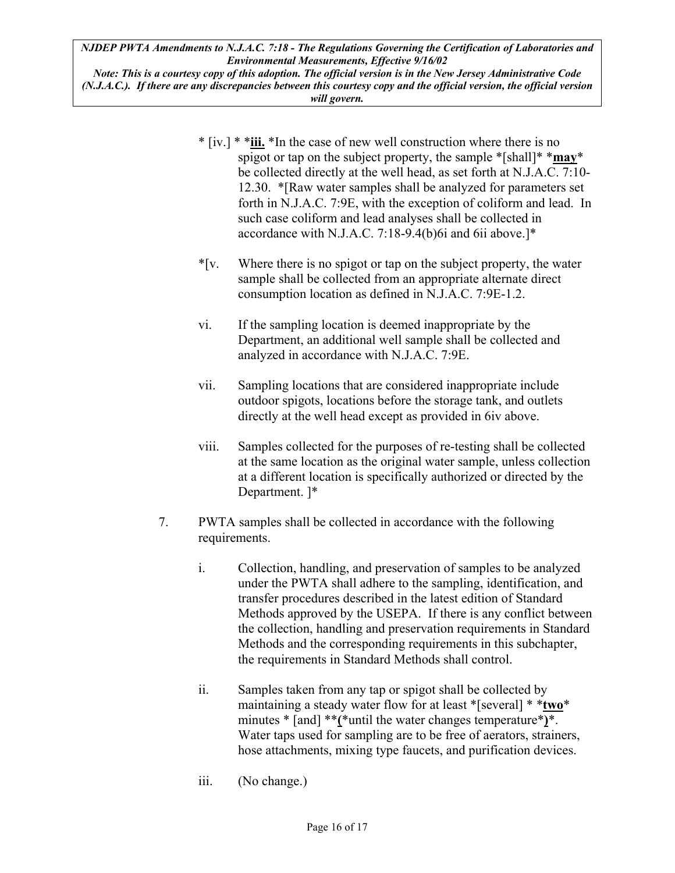*Note: This is a courtesy copy of this adoption. The official version is in the New Jersey Administrative Code (N.J.A.C.). If there are any discrepancies between this courtesy copy and the official version, the official version will govern.*

- \* [iv.] \* \***iii.** \*In the case of new well construction where there is no spigot or tap on the subject property, the sample \*[shall]\* \***may**\* be collected directly at the well head, as set forth at N.J.A.C. 7:10- 12.30. \*[Raw water samples shall be analyzed for parameters set forth in N.J.A.C. 7:9E, with the exception of coliform and lead. In such case coliform and lead analyses shall be collected in accordance with N.J.A.C. 7:18-9.4(b)6i and 6ii above.]\*
- \*[v. Where there is no spigot or tap on the subject property, the water sample shall be collected from an appropriate alternate direct consumption location as defined in N.J.A.C. 7:9E-1.2.
- vi. If the sampling location is deemed inappropriate by the Department, an additional well sample shall be collected and analyzed in accordance with N.J.A.C. 7:9E.
- vii. Sampling locations that are considered inappropriate include outdoor spigots, locations before the storage tank, and outlets directly at the well head except as provided in 6iv above.
- viii. Samples collected for the purposes of re-testing shall be collected at the same location as the original water sample, unless collection at a different location is specifically authorized or directed by the Department. ]\*
- 7. PWTA samples shall be collected in accordance with the following requirements.
	- i. Collection, handling, and preservation of samples to be analyzed under the PWTA shall adhere to the sampling, identification, and transfer procedures described in the latest edition of Standard Methods approved by the USEPA. If there is any conflict between the collection, handling and preservation requirements in Standard Methods and the corresponding requirements in this subchapter, the requirements in Standard Methods shall control.
	- ii. Samples taken from any tap or spigot shall be collected by maintaining a steady water flow for at least \*[several] \* \***two**\* minutes \* [and] \*\***(**\*until the water changes temperature\***)**\*. Water taps used for sampling are to be free of aerators, strainers, hose attachments, mixing type faucets, and purification devices.
	- iii. (No change.)